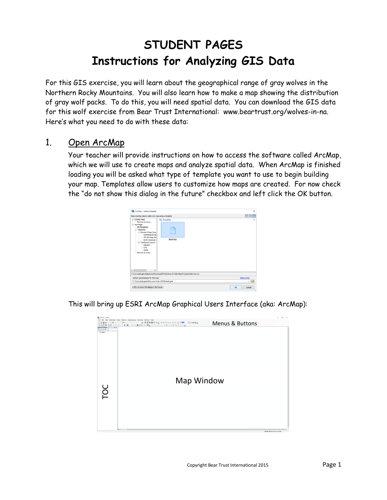## **STUDENT PAGES Instructions for Analyzing GIS Data**

For this GIS exercise, you will learn about the geographical range of gray wolves in the Northern Rocky Mountains. You will also learn how to make a map showing the distribution of gray wolf packs. To do this, you will need spatial data. You can download the GIS data for this wolf exercise from Bear Trust International: www.beartrust.org/wolves-in-na. Here's what you need to do with these data:

## 1. Open ArcMap

Your teacher will provide instructions on how to access the software called ArcMap, which we will use to create maps and analyze spatial data. When ArcMap is finished loading you will be asked what type of template you want to use to begin building your map. Templates allow users to customize how maps are created. For now check the "do not show this dialog in the future" checkbox and left click the OK button.

| ArcMap - Getting Started                                                                                                                                                                                                                                                                                               |                                                                                                              | $\times$              |
|------------------------------------------------------------------------------------------------------------------------------------------------------------------------------------------------------------------------------------------------------------------------------------------------------------------------|--------------------------------------------------------------------------------------------------------------|-----------------------|
| Open existing map or make new map using a template                                                                                                                                                                                                                                                                     |                                                                                                              | <b>鞋器圈</b>            |
| El-Existing Maps<br>-- Browse for more<br>-New Maps<br>My Templates<br><b>⊟-Templates</b><br>Standard Page Sizes<br>Architectural Pac<br>-- ISO (A) Page Siz<br>-North American 6<br>-Traditional Layouts<br>- Industry<br>$-184$<br>- World<br>Browse for more<br>$\left\langle \cdot \right\rangle$<br>$\rightarrow$ | My Templates<br>Blank Map<br>C:\Users\jshogland\AppData\Roaming\ESRI\Desktop10.3\ArcMap\Templates\Normal.mxt | ۰                     |
| Default geodatabase for this map:                                                                                                                                                                                                                                                                                      |                                                                                                              | What is this?         |
| C:\Users\ishogland\Documents\ArcGIS\Default.gdb                                                                                                                                                                                                                                                                        |                                                                                                              | $\vee$ $\blacksquare$ |
| Do not show this dialog in the future.                                                                                                                                                                                                                                                                                 |                                                                                                              | Cancel<br>$\alpha$    |

This will bring up ESRI ArcMap Graphical Users Interface (aka: ArcMap):

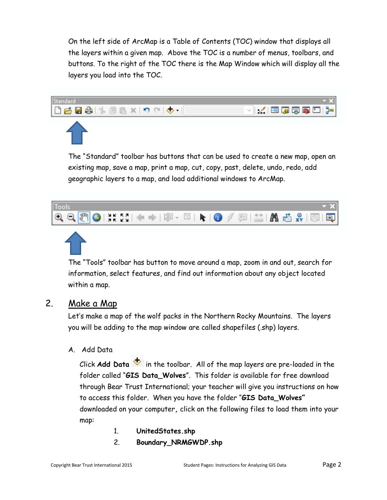On the left side of ArcMap is a Table of Contents (TOC) window that displays all the layers within a given map. Above the TOC is a number of menus, toolbars, and buttons. To the right of the TOC there is the Map Window which will display all the layers you load into the TOC.



The "Standard" toolbar has buttons that can be used to create a new map, open an existing map, save a map, print a map, cut, copy, past, delete, undo, redo, add geographic layers to a map, and load additional windows to ArcMap.



The "Tools" toolbar has button to move around a map, zoom in and out, search for information, select features, and find out information about any object located within a map.

## 2. Make a Map

Let's make a map of the wolf packs in the Northern Rocky Mountains. The layers you will be adding to the map window are called shapefiles (.shp) layers.

A. Add Data

Click  $Add Data$  in the toolbar. All of the map layers are pre-loaded in the folder called "**GIS Data\_Wolves**". This folder is available for free download through Bear Trust International; your teacher will give you instructions on how to access this folder. When you have the folder "**GIS Data\_Wolves"**  downloaded on your computer**,** click on the following files to load them into your map:

- 1. **UnitedStates.shp**
- 2. **Boundary\_NRMGWDP.shp**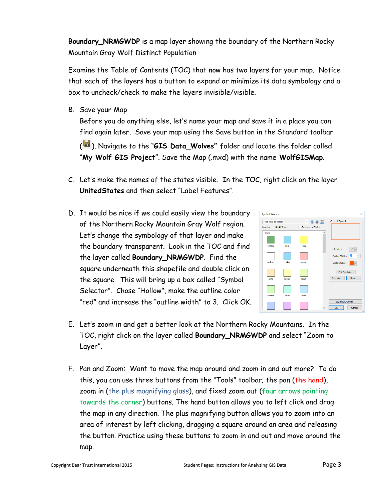**Boundary\_NRMGWDP** is a map layer showing the boundary of the Northern Rocky Mountain Gray Wolf Distinct Population

Examine the Table of Contents (TOC) that now has two layers for your map. Notice that each of the layers has a button to expand or minimize its data symbology and a box to uncheck/check to make the layers invisible/visible.

B. Save your Map

Before you do anything else, let's name your map and save it in a place you can find again later. Save your map using the Save button in the Standard toolbar

( ). Navigate to the "**GIS Data\_Wolves"** folder and locate the folder called "**My Wolf GIS Project**". Save the Map (.mxd) with the name **WolfGISMap**.

- C. Let's make the names of the states visible. In the TOC, right click on the layer **UnitedStates** and then select "Label Features".
- D. It would be nice if we could easily view the boundary of the Northern Rocky Mountain Gray Wolf region. Let's change the symbology of that layer and make the boundary transparent. Look in the TOC and find the layer called **Boundary\_NRMGWDP**. Find the square underneath this shapefile and double click on the square. This will bring up a box called "Symbol Selector". Chose "Hollow", make the outline color "red" and increase the "outline width" to 3. Click OK.



- E. Let's zoom in and get a better look at the Northern Rocky Mountains. In the TOC, right click on the layer called **Boundary\_NRMGWDP** and select "Zoom to Layer".
- F. Pan and Zoom: Want to move the map around and zoom in and out more? To do this, you can use three buttons from the "Tools" toolbar; the pan (the hand), zoom in (the plus magnifying glass), and fixed zoom out (four arrows pointing towards the corner) buttons. The hand button allows you to left click and drag the map in any direction. The plus magnifying button allows you to zoom into an area of interest by left clicking, dragging a square around an area and releasing the button. Practice using these buttons to zoom in and out and move around the map.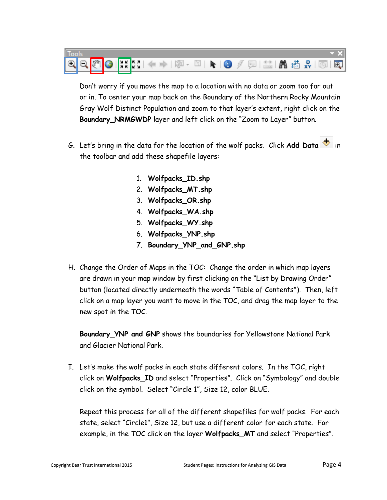

Don't worry if you move the map to a location with no data or zoom too far out or in. To center your map back on the Boundary of the Northern Rocky Mountain Gray Wolf Distinct Population and zoom to that layer's extent, right click on the **Boundary\_NRMGWDP** layer and left click on the "Zoom to Layer" button.

- G. Let's bring in the data for the location of the wolf packs. Click Add Data **b** in the toolbar and add these shapefile layers:
	- 1. **Wolfpacks\_ID.shp**
	- 2. **Wolfpacks\_MT.shp**
	- 3. **Wolfpacks\_OR.shp**
	- 4. **Wolfpacks\_WA.shp**
	- 5. **Wolfpacks\_WY.shp**
	- 6. **Wolfpacks\_YNP.shp**
	- 7. **Boundary\_YNP\_and\_GNP.shp**
- H. Change the Order of Maps in the TOC: Change the order in which map layers are drawn in your map window by first clicking on the "List by Drawing Order" button (located directly underneath the words "Table of Contents"). Then, left click on a map layer you want to move in the TOC, and drag the map layer to the new spot in the TOC.

**Boundary\_YNP and GNP** shows the boundaries for Yellowstone National Park and Glacier National Park.

I. Let's make the wolf packs in each state different colors. In the TOC, right click on **Wolfpacks\_ID** and select "Properties". Click on "Symbology" and double click on the symbol. Select "Circle 1", Size 12, color BLUE.

Repeat this process for all of the different shapefiles for wolf packs. For each state, select "Circle1", Size 12, but use a different color for each state. For example, in the TOC click on the layer **Wolfpacks\_MT** and select "Properties".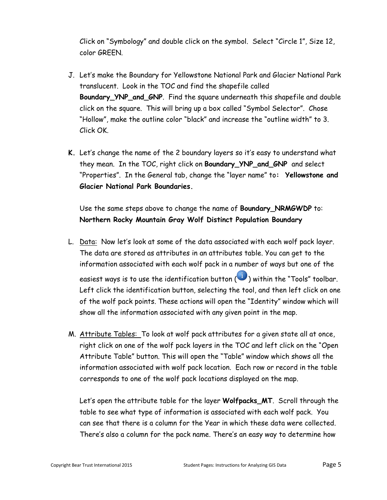Click on "Symbology" and double click on the symbol. Select "Circle 1", Size 12, color GREEN.

- J. Let's make the Boundary for Yellowstone National Park and Glacier National Park translucent. Look in the TOC and find the shapefile called **Boundary\_YNP\_and\_GNP**. Find the square underneath this shapefile and double click on the square. This will bring up a box called "Symbol Selector". Chose "Hollow", make the outline color "black" and increase the "outline width" to 3. Click OK.
- **K.** Let's change the name of the 2 boundary layers so it's easy to understand what they mean. In the TOC, right click on **Boundary\_YNP\_and\_GNP** and select "Properties". In the General tab, change the "layer name" to**: Yellowstone and Glacier National Park Boundaries.**

Use the same steps above to change the name of **Boundary\_NRMGWDP** to: **Northern Rocky Mountain Gray Wolf Distinct Population Boundary**

- L. Data: Now let's look at some of the data associated with each wolf pack layer. The data are stored as attributes in an attributes table. You can get to the information associated with each wolf pack in a number of ways but one of the easiest ways is to use the identification button  $\begin{pmatrix} 0 \end{pmatrix}$  within the "Tools" toolbar. Left click the identification button, selecting the tool, and then left click on one of the wolf pack points. These actions will open the "Identity" window which will show all the information associated with any given point in the map.
- M. Attribute Tables: To look at wolf pack attributes for a given state all at once, right click on one of the wolf pack layers in the TOC and left click on the "Open Attribute Table" button. This will open the "Table" window which shows all the information associated with wolf pack location. Each row or record in the table corresponds to one of the wolf pack locations displayed on the map.

Let's open the attribute table for the layer **Wolfpacks\_MT**. Scroll through the table to see what type of information is associated with each wolf pack. You can see that there is a column for the Year in which these data were collected. There's also a column for the pack name. There's an easy way to determine how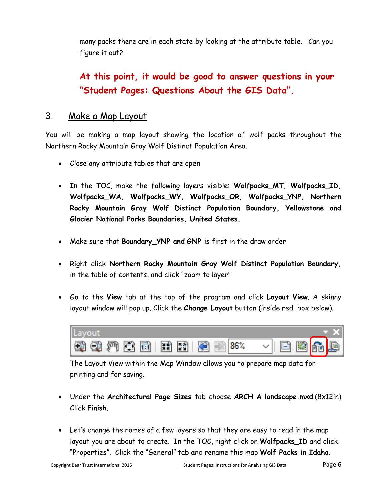many packs there are in each state by looking at the attribute table. Can you figure it out?

**At this point, it would be good to answer questions in your "Student Pages: Questions About the GIS Data".**

## 3. Make a Map Layout

You will be making a map layout showing the location of wolf packs throughout the Northern Rocky Mountain Gray Wolf Distinct Population Area.

- Close any attribute tables that are open
- In the TOC, make the following layers visible: Wolfpacks\_MT, Wolfpacks\_ID, **Wolfpacks\_WA, Wolfpacks\_WY, Wolfpacks\_OR, Wolfpacks\_YNP, Northern Rocky Mountain Gray Wolf Distinct Population Boundary, Yellowstone and Glacier National Parks Boundaries, United States.**
- Make sure that **Boundary\_YNP and GNP** is first in the draw order
- Right click **Northern Rocky Mountain Gray Wolf Distinct Population Boundary,**  in the table of contents, and click "zoom to layer"
- Go to the **View** tab at the top of the program and click **Layout View**. A skinny layout window will pop up. Click the **Change Layout** button (inside red box below).



The Layout View within the Map Window allows you to prepare map data for printing and for saving.

- Under the **Architectural Page Sizes** tab choose **ARCH A landscape.mxd**.(8x12in) Click **Finish**.
- Let's change the names of a few layers so that they are easy to read in the map layout you are about to create. In the TOC, right click on **Wolfpacks\_ID** and click "Properties". Click the "General" tab and rename this map **Wolf Packs in Idaho**.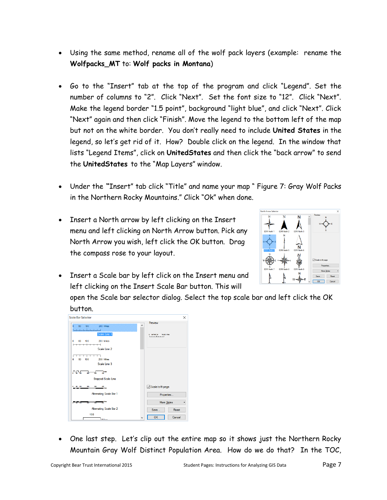- Using the same method, rename all of the wolf pack layers (example: rename the **Wolfpacks\_MT** to: **Wolf packs in Montana**)
- Go to the "Insert" tab at the top of the program and click "Legend". Set the number of columns to "2". Click "Next". Set the font size to "12". Click "Next". Make the legend border "1.5 point", background "light blue", and click "Next". Click "Next" again and then click "Finish". Move the legend to the bottom left of the map but not on the white border. You don't really need to include **United States** in the legend, so let's get rid of it. How? Double click on the legend. In the window that lists "Legend Items", click on **UnitedStates** and then click the "back arrow" to send the **UnitedStates** to the "Map Layers" window.
- Under the **"**Insert" tab click "Title" and name your map " Figure 7: Gray Wolf Packs in the Northern Rocky Mountains." Click "Ok" when done.
- Insert a North arrow by left clicking on the Insert menu and left clicking on North Arrow button. Pick any North Arrow you wish, left click the OK button. Drag the compass rose to your layout.



• Insert a Scale bar by left click on the Insert menu and left clicking on the Insert Scale Bar button. This will

open the Scale bar selector dialog. Select the top scale bar and left click the OK button.



 One last step. Let's clip out the entire map so it shows just the Northern Rocky Mountain Gray Wolf Distinct Population Area. How do we do that? In the TOC,